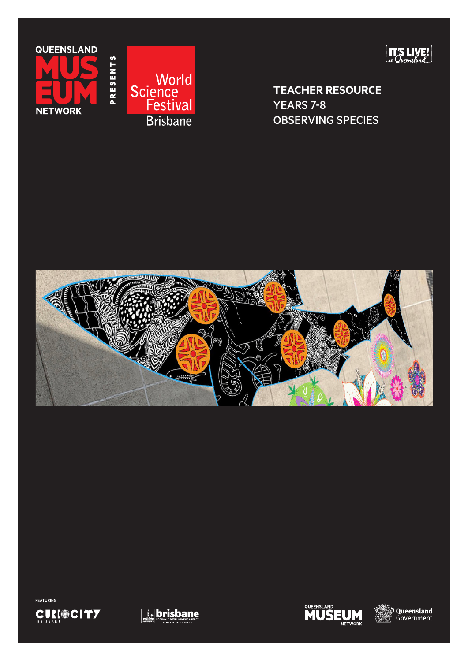





**TEACHER RESOURCE**  YEARS 7-8 OBSERVING SPECIES











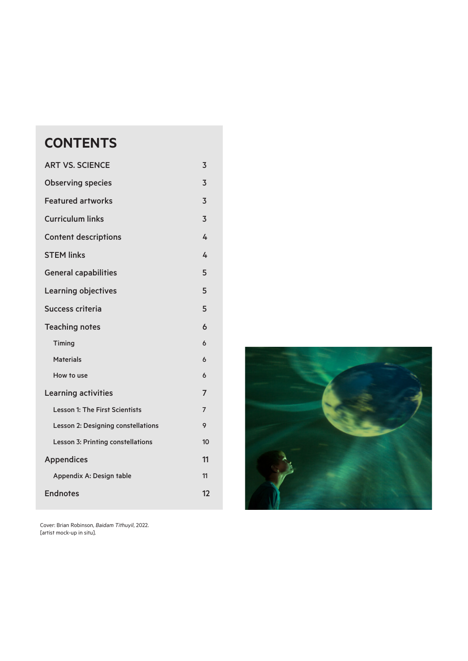# **CONTENTS**

| <b>ART VS. SCIENCE</b><br>3           |                |  |  |  |
|---------------------------------------|----------------|--|--|--|
| <b>Observing species</b>              |                |  |  |  |
| <b>Featured artworks</b>              |                |  |  |  |
| <b>Curriculum links</b>               |                |  |  |  |
| <b>Content descriptions</b>           |                |  |  |  |
| <b>STEM links</b>                     |                |  |  |  |
| <b>General capabilities</b>           |                |  |  |  |
| <b>Learning objectives</b>            |                |  |  |  |
| Success criteria                      |                |  |  |  |
| <b>Teaching notes</b>                 |                |  |  |  |
| Timing                                | 6              |  |  |  |
| <b>Materials</b>                      | 6              |  |  |  |
| How to use                            | 6              |  |  |  |
| <b>Learning activities</b>            |                |  |  |  |
| <b>Lesson 1: The First Scientists</b> | $\overline{7}$ |  |  |  |
| Lesson 2: Designing constellations    | 9              |  |  |  |
| Lesson 3: Printing constellations     | 10             |  |  |  |
| <b>Appendices</b>                     |                |  |  |  |
| Appendix A: Design table              | 11             |  |  |  |
| <b>Endnotes</b>                       |                |  |  |  |

Cover: Brian Robinson, *Baidam Tithuyil*, 2022. [artist mock-up in situ].

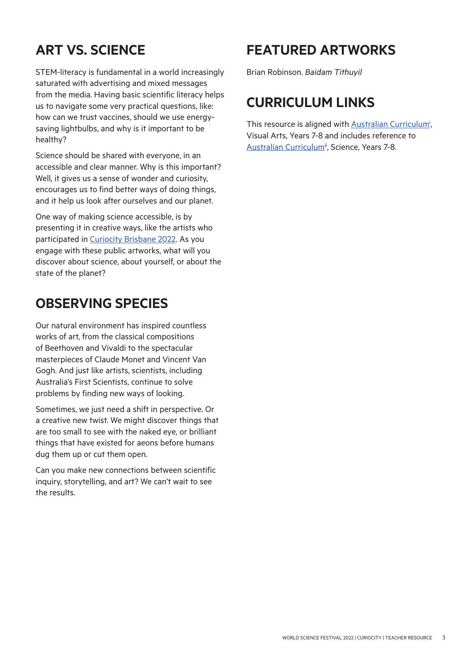# **ART VS. SCIENCE**

STEM-literacy is fundamental in a world increasingly saturated with advertising and mixed messages from the media. Having basic scientific literacy helps us to navigate some very practical questions, like: how can we trust vaccines, should we use energysaving lightbulbs, and why is it important to be healthy?

Science should be shared with everyone, in an accessible and clear manner. Why is this important? Well, it gives us a sense of wonder and curiosity, encourages us to find better ways of doing things, and it help us look after ourselves and our planet.

One way of making science accessible, is by presenting it in creative ways, like the artists who participated in [Curiocity Brisbane 2022.](https://www.worldsciencefestival.com.au/curiocity-brisbane) As you engage with these public artworks, what will you discover about science, about yourself, or about the state of the planet?

# **OBSERVING SPECIES**

Our natural environment has inspired countless works of art, from the classical compositions of Beethoven and Vivaldi to the spectacular masterpieces of Claude Monet and Vincent Van Gogh. And just like artists, scientists, including Australia's First Scientists, continue to solve problems by finding new ways of looking.

Sometimes, we just need a shift in perspective. Or a creative new twist. We might discover things that are too small to see with the naked eye, or brilliant things that have existed for aeons before humans dug them up or cut them open.

Can you make new connections between scientific inquiry, storytelling, and art? We can't wait to see the results.

# **FEATURED ARTWORKS**

Brian Robinson. *Baidam Tithuyil*

# **CURRICULUM LINKS**

This resource is aligned with **[Australian Curriculum](http://This resource is aligned with Australian Curriculum , Visual Arts, Years 7-8 and includes reference to Australian Curriculum , Science, Years 7-8.)<sup>i</sup>**, Visual Arts, Years 7-8 and includes reference to [Australian Curriculum](https://www.australiancurriculum.edu.au/f-10-curriculum/science/)<sup>ii</sup>, Science, Years 7-8.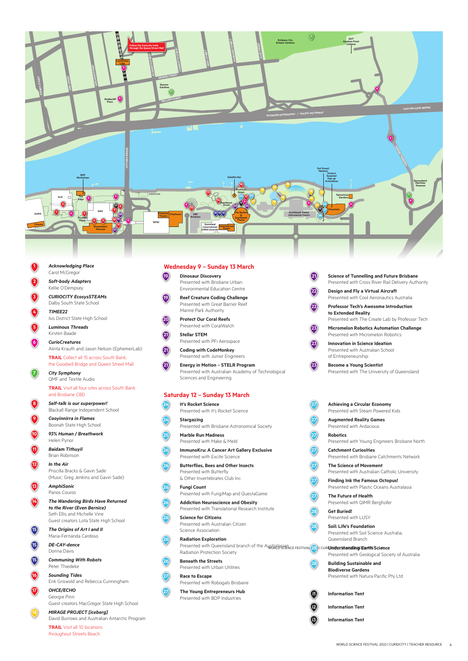

**1** *Acknowledging Place* Carol McGregor

> **2** *Soft-body Adapters* Kellie O'Dempsey

**3** *CURIOCITY EcosysSTEAMs* Dalby South State School

**4** *TIMEE22* Isis District State High School

**5** *Luminous Threads* Kirsten Baade

> **6** *CurioCreatures* Alinta Krauth and Jason Nelson (EphemerLab)

 **TRAIL** Collect all 15 across South Bank, the Goodwill Bridge and Queen Street Mall

**7** *City Symphony* QMF and Textile Audio

 **TRAIL** Visit all four sites across South Bank and Brisbane CBD

**8** *Self-talk is our superpower!*  Blackall Range Independent School

**9** *Cooyinnirra in Flames* Boonah State High School

**10** *93% Human / Breathwork* Helen Pynor

**11** *Baidam Tithuyil* Brian Robinson

**12** *In the Air* Priscilla Bracks & Gavin Sade (Music: Greg Jenkins and Gavin Sade)

**13** *AmphiSonic* Panos Couros

#### **14** *The Wandering Birds Have Returned to the River (Even Bernice)*

 Seth Ellis and Michelle Vine Guest creators Lota State High School



**Presented with Queensland branch of the Austral BightNice FESTIVAL 28<sup>2</sup> I CUR<b>ION Det Standing Earth Science 26 Radiation Exploration** Radiation Protection Society

#### **15** *The Origins of Art I and II* Maria-Fernanda Cardoso



**15** *DE-CAY-dence* Donna Davis



**15** *Communing With Robots* Peter Thiedeke



#### **16** *Sounding Tides*

Erik Griswold and Rebecca Cunningham



### **17** *OHCE/ECHO*

 Georgie Pinn Guest creators MacGregor State High School



#### **18** *MIRAGE PROJECT [iceberg]*

David Burrows and Australian Antarctic Program

 **TRAIL** Visit all 10 locations throughout Streets Beach

![](_page_3_Picture_63.jpeg)

### **Wednesday 9 – Sunday 13 March**

**19 Dinosaur Discovery** Presented with Brisbane Urban Environmental Education Centre

**19 Reef Creature Coding Challenge** Presented with Great Barrier Reef Marine Park Authority

**20 Protect Our Coral Reefs** Presented with CoralWatch

**21 Stellar STEM** Presented with PFi Aerospace

**21 Coding with CodeMonkey** Presented with Junior Engineers

**21 Energy in Motion – STELR Program** Presented with Australian Academy of Technological Sciences and Engineering

**21 Science of Tunnelling and Future Brisbane** Presented with Cross River Rail Delivery Authority

**22 Design and Fly a Virtual Aircraft** Presented with Cool Aeronautics Australia

**22 Professor Tech's Awesome Introduction to Extended Reality**

Presented with The Create Lab by Professor Tech

**23 Micromelon Robotics Automation Challenge** Presented with Micromelon Robotics

**23 Innovation in Science Ideation** Presented with Australian School of Entrepreneurship

**23 Become a Young Scientist** Presented with The University of Queensland

### **Saturday 12 – Sunday 13 March**

**24 It's Rocket Science** Presented with It's Rocket Science

**24 Stargazing** Presented with Brisbane Astronomical Society

**25 Marble Run Madness** Presented with Make & Meld

**26 ImmunoKru: A Cancer Art Gallery Exclusive** Presented with Excite Science

**26 Butterflies, Bees and Other Insects** Presented with Butterfly & Other Invertebrates Club Inc.

**26 Fungi Count**  Presented with FungiMap and QuestaGame

**26 Addiction Neuroscience and Obesity** Presented with Translational Research Institute

#### **26 Science for Citizens** Presented with Australian Citizen

Science Association

**26 Beneath the Streets** Presented with Urban Utilities

**27 Race to Escape** Presented with Robogals Brisbane

**27 The Young Entrepreneurs Hub** Presented with BOP Industries

- **27 Achieving a Circular Economy** Presented with Steam Powered Kids
- **27 Augmented Reality Games** Presented with Ardacious

**27 Robotics** Presented with Young Engineers Brisbane North

**27 Catchment Curiosities** Presented with Brisbane Catchments Network

**27 The Science of Movement** Presented with Australian Catholic University

**27 Finding Ink the Famous Octopus!** Presented with Plastic Oceans Australasia **27 The Future of Health** 

![](_page_3_Picture_44.jpeg)

Presented with QIMR Berghofer

### **28 Get Buried!**

Presented with LUSY

**28 Soil: Life's Foundation** Presented with Soil Science Australia, Queensland Branch

Presented with Geological Society of Australia

**28 Building Sustainable and Biodiverse Gardens** Presented with Natura Pacific Pty Ltd

![](_page_3_Picture_78.jpeg)

**i2 Information Tent**

**i3 Information Tent**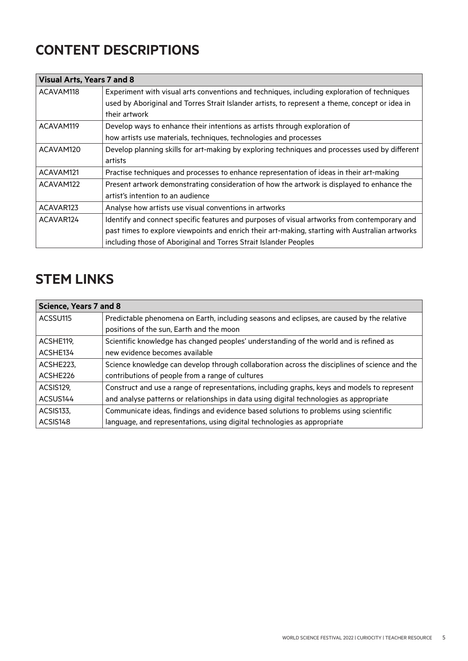# **CONTENT DESCRIPTIONS**

| <b>Visual Arts, Years 7 and 8</b> |                                                                                                 |  |  |
|-----------------------------------|-------------------------------------------------------------------------------------------------|--|--|
| ACAVAM118                         | Experiment with visual arts conventions and techniques, including exploration of techniques     |  |  |
|                                   | used by Aboriginal and Torres Strait Islander artists, to represent a theme, concept or idea in |  |  |
|                                   | their artwork                                                                                   |  |  |
| ACAVAM119                         | Develop ways to enhance their intentions as artists through exploration of                      |  |  |
|                                   | how artists use materials, techniques, technologies and processes                               |  |  |
| ACAVAM120                         | Develop planning skills for art-making by exploring techniques and processes used by different  |  |  |
|                                   | artists                                                                                         |  |  |
| ACAVAM121                         | Practise techniques and processes to enhance representation of ideas in their art-making        |  |  |
| ACAVAM122                         | Present artwork demonstrating consideration of how the artwork is displayed to enhance the      |  |  |
|                                   | artist's intention to an audience                                                               |  |  |
| ACAVAR123                         | Analyse how artists use visual conventions in artworks                                          |  |  |
| ACAVAR124                         | Identify and connect specific features and purposes of visual artworks from contemporary and    |  |  |
|                                   | past times to explore viewpoints and enrich their art-making, starting with Australian artworks |  |  |
|                                   | including those of Aboriginal and Torres Strait Islander Peoples                                |  |  |

# **STEM LINKS**

| <b>Science, Years 7 and 8</b> |                                                                                               |  |  |
|-------------------------------|-----------------------------------------------------------------------------------------------|--|--|
| ACSSU115                      | Predictable phenomena on Earth, including seasons and eclipses, are caused by the relative    |  |  |
|                               | positions of the sun, Earth and the moon                                                      |  |  |
| ACSHE119,                     | Scientific knowledge has changed peoples' understanding of the world and is refined as        |  |  |
| ACSHE134                      | new evidence becomes available                                                                |  |  |
| ACSHE223.                     | Science knowledge can develop through collaboration across the disciplines of science and the |  |  |
| ACSHE226                      | contributions of people from a range of cultures                                              |  |  |
| ACSIS129.                     | Construct and use a range of representations, including graphs, keys and models to represent  |  |  |
| ACSUS144                      | and analyse patterns or relationships in data using digital technologies as appropriate       |  |  |
| ACSIS133.                     | Communicate ideas, findings and evidence based solutions to problems using scientific         |  |  |
| ACSIS148                      | language, and representations, using digital technologies as appropriate                      |  |  |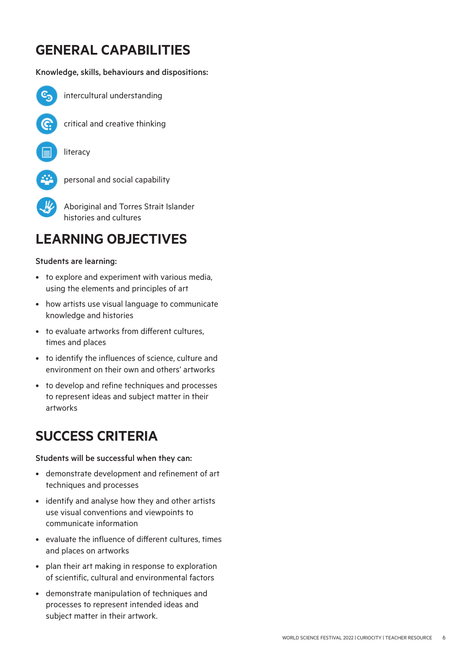# **GENERAL CAPABILITIES**

### Knowledge, skills, behaviours and dispositions:

![](_page_5_Picture_2.jpeg)

intercultural understanding

![](_page_5_Picture_4.jpeg)

critical and creative thinking

![](_page_5_Picture_6.jpeg)

![](_page_5_Picture_7.jpeg)

personal and social capability

 Aboriginal and Torres Strait Islander histories and cultures

# **LEARNING OBJECTIVES**

### Students are learning:

- to explore and experiment with various media, using the elements and principles of art
- how artists use visual language to communicate knowledge and histories
- to evaluate artworks from different cultures, times and places
- to identify the influences of science, culture and environment on their own and others' artworks
- to develop and refine techniques and processes to represent ideas and subject matter in their artworks

# **SUCCESS CRITERIA**

Students will be successful when they can:

- demonstrate development and refinement of art techniques and processes
- identify and analyse how they and other artists use visual conventions and viewpoints to communicate information
- evaluate the influence of different cultures, times and places on artworks
- plan their art making in response to exploration of scientific, cultural and environmental factors
- demonstrate manipulation of techniques and processes to represent intended ideas and subject matter in their artwork.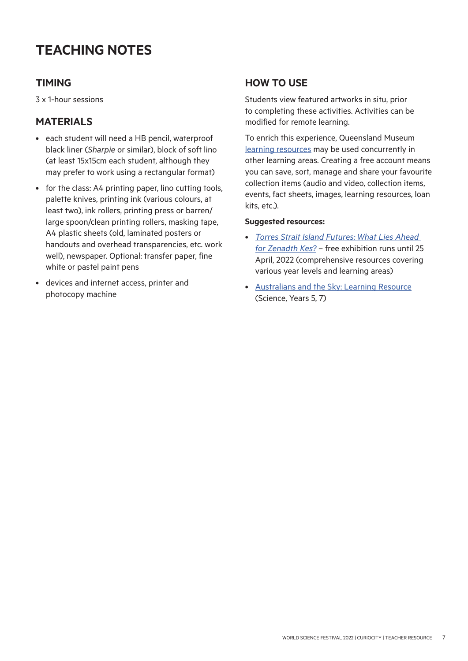# **TEACHING NOTES**

# **TIMING**

3 x 1-hour sessions

# **MATERIALS**

- each student will need a HB pencil, waterproof black liner (*Sharpie* or similar), block of soft lino (at least 15x15cm each student, although they may prefer to work using a rectangular format)
- for the class: A4 printing paper, lino cutting tools, palette knives, printing ink (various colours, at least two), ink rollers, printing press or barren/ large spoon/clean printing rollers, masking tape, A4 plastic sheets (old, laminated posters or handouts and overhead transparencies, etc. work well), newspaper. Optional: transfer paper, fine white or pastel paint pens
- devices and internet access, printer and photocopy machine

## **HOW TO USE**

Students view featured artworks in situ, prior to completing these activities. Activities can be modified for remote learning.

To enrich this experience, Queensland Museum [learning resources](https://learning.qm.qld.gov.au/) may be used concurrently in other learning areas. Creating a free account means you can save, sort, manage and share your favourite collection items (audio and video, collection items, events, fact sheets, images, learning resources, loan kits, etc.).

### **Suggested resources:**

- *[Torres Strait Island Futures: What Lies Ahead](https://islandfutures.qm.qld.gov.au/learning)  [for Zenadth Kes?](https://islandfutures.qm.qld.gov.au/learning)* – free exhibition runs until 25 April, 2022 (comprehensive resources covering various year levels and learning areas)
- [Australians and the Sky: Learning Resource](https://learning.qm.qld.gov.au/resources/1635555/australians-and-the-sky) (Science, Years 5, 7)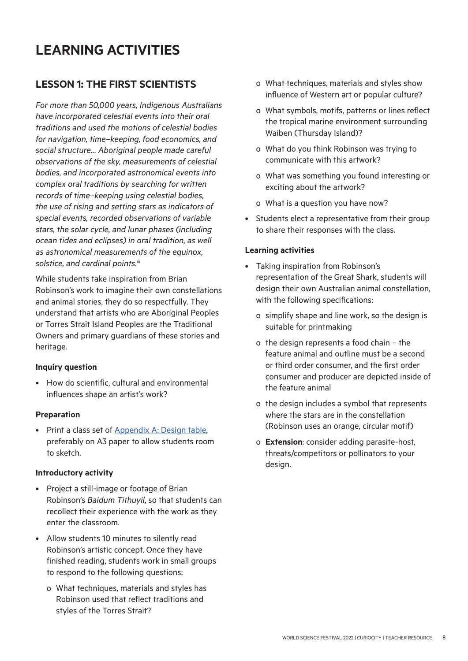# **LESSON 1: THE FIRST SCIENTISTS**

*For more than 50,000 years, Indigenous Australians have incorporated celestial events into their oral traditions and used the motions of celestial bodies for navigation, time–keeping, food economics, and social structure… Aboriginal people made careful observations of the sky, measurements of celestial bodies, and incorporated astronomical events into complex oral traditions by searching for written records of time–keeping using celestial bodies, the use of rising and setting stars as indicators of special events, recorded observations of variable stars, the solar cycle, and lunar phases (including ocean tides and eclipses) in oral tradition, as well as astronomical measurements of the equinox, solstice, and cardinal points.iii*

While students take inspiration from Brian Robinson's work to imagine their own constellations and animal stories, they do so respectfully. They understand that artists who are Aboriginal Peoples or Torres Strait Island Peoples are the Traditional Owners and primary guardians of these stories and heritage.

### **Inquiry question**

• How do scientific, cultural and environmental influences shape an artist's work?

### **Preparation**

• Print a class set of [Appendix A: Design table](#page-11-0), preferably on A3 paper to allow students room to sketch.

### **Introductory activity**

- Project a still-image or footage of Brian Robinson's *Baidum Tithuyil*, so that students can recollect their experience with the work as they enter the classroom.
- Allow students 10 minutes to silently read Robinson's artistic concept. Once they have finished reading, students work in small groups to respond to the following questions:
	- o What techniques, materials and styles has Robinson used that reflect traditions and styles of the Torres Strait?
- o What techniques, materials and styles show influence of Western art or popular culture?
- o What symbols, motifs, patterns or lines reflect the tropical marine environment surrounding Waiben (Thursday Island)?
- o What do you think Robinson was trying to communicate with this artwork?
- o What was something you found interesting or exciting about the artwork?
- o What is a question you have now?
- Students elect a representative from their group to share their responses with the class.

### **Learning activities**

- Taking inspiration from Robinson's representation of the Great Shark, students will design their own Australian animal constellation, with the following specifications:
	- o simplify shape and line work, so the design is suitable for printmaking
	- o the design represents a food chain the feature animal and outline must be a second or third order consumer, and the first order consumer and producer are depicted inside of the feature animal
	- o the design includes a symbol that represents where the stars are in the constellation (Robinson uses an orange, circular motif)
	- o **Extension**: consider adding parasite-host, threats/competitors or pollinators to your design.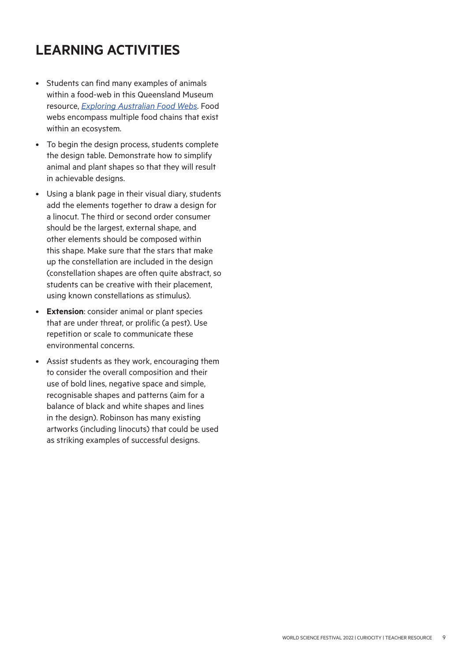- Students can find many examples of animals within a food-web in this Queensland Museum resource, *[Exploring Australian Food Webs](https://learning.qm.qld.gov.au/resources/1568374/exploring-australian-food-webs)*. Food webs encompass multiple food chains that exist within an ecosystem.
- To begin the design process, students complete the design table. Demonstrate how to simplify animal and plant shapes so that they will result in achievable designs.
- Using a blank page in their visual diary, students add the elements together to draw a design for a linocut. The third or second order consumer should be the largest, external shape, and other elements should be composed within this shape. Make sure that the stars that make up the constellation are included in the design (constellation shapes are often quite abstract, so students can be creative with their placement, using known constellations as stimulus).
- **Extension**: consider animal or plant species that are under threat, or prolific (a pest). Use repetition or scale to communicate these environmental concerns.
- Assist students as they work, encouraging them to consider the overall composition and their use of bold lines, negative space and simple, recognisable shapes and patterns (aim for a balance of black and white shapes and lines in the design). Robinson has many existing artworks (including linocuts) that could be used as striking examples of successful designs.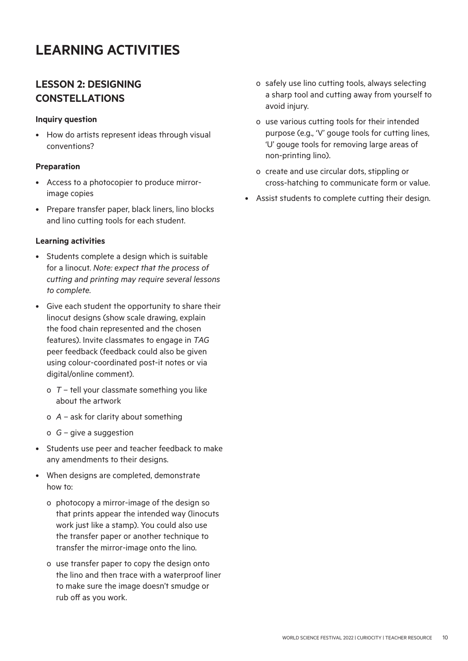# **LESSON 2: DESIGNING CONSTELLATIONS**

### **Inquiry question**

• How do artists represent ideas through visual conventions?

### **Preparation**

- Access to a photocopier to produce mirrorimage copies
- Prepare transfer paper, black liners, lino blocks and lino cutting tools for each student.

### **Learning activities**

- Students complete a design which is suitable for a linocut. *Note: expect that the process of cutting and printing may require several lessons to complete.*
- Give each student the opportunity to share their linocut designs (show scale drawing, explain the food chain represented and the chosen features). Invite classmates to engage in *TAG* peer feedback (feedback could also be given using colour-coordinated post-it notes or via digital/online comment).
	- o *T* tell your classmate something you like about the artwork
	- o *A* ask for clarity about something
	- o *G* give a suggestion
- Students use peer and teacher feedback to make any amendments to their designs.
- When designs are completed, demonstrate how to:
	- o photocopy a mirror-image of the design so that prints appear the intended way (linocuts work just like a stamp). You could also use the transfer paper or another technique to transfer the mirror-image onto the lino.
	- o use transfer paper to copy the design onto the lino and then trace with a waterproof liner to make sure the image doesn't smudge or rub off as you work.
- o safely use lino cutting tools, always selecting a sharp tool and cutting away from yourself to avoid injury.
- o use various cutting tools for their intended purpose (e.g., 'V' gouge tools for cutting lines, 'U' gouge tools for removing large areas of non-printing lino).
- o create and use circular dots, stippling or cross-hatching to communicate form or value.
- Assist students to complete cutting their design.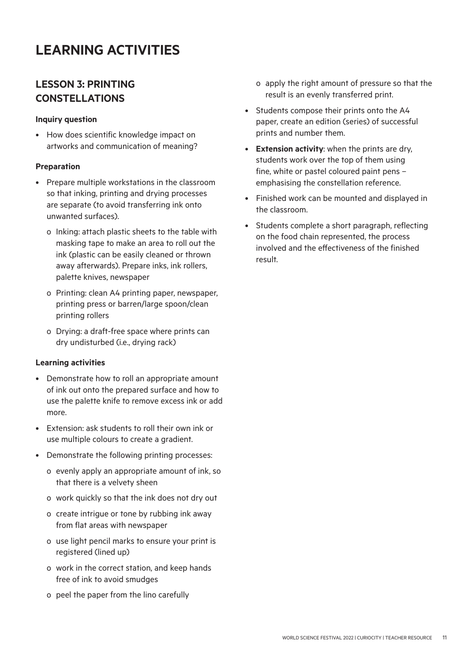# **LESSON 3: PRINTING CONSTELLATIONS**

### **Inquiry question**

• How does scientific knowledge impact on artworks and communication of meaning?

### **Preparation**

- Prepare multiple workstations in the classroom so that inking, printing and drying processes are separate (to avoid transferring ink onto unwanted surfaces).
	- o Inking: attach plastic sheets to the table with masking tape to make an area to roll out the ink (plastic can be easily cleaned or thrown away afterwards). Prepare inks, ink rollers, palette knives, newspaper
	- o Printing: clean A4 printing paper, newspaper, printing press or barren/large spoon/clean printing rollers
	- o Drying: a draft-free space where prints can dry undisturbed (i.e., drying rack)

### **Learning activities**

- Demonstrate how to roll an appropriate amount of ink out onto the prepared surface and how to use the palette knife to remove excess ink or add more.
- Extension: ask students to roll their own ink or use multiple colours to create a gradient.
- Demonstrate the following printing processes:
	- o evenly apply an appropriate amount of ink, so that there is a velvety sheen
	- o work quickly so that the ink does not dry out
	- o create intrigue or tone by rubbing ink away from flat areas with newspaper
	- o use light pencil marks to ensure your print is registered (lined up)
	- o work in the correct station, and keep hands free of ink to avoid smudges
	- o peel the paper from the lino carefully
- o apply the right amount of pressure so that the result is an evenly transferred print.
- Students compose their prints onto the A4 paper, create an edition (series) of successful prints and number them.
- **Extension activity**: when the prints are dry, students work over the top of them using fine, white or pastel coloured paint pens – emphasising the constellation reference.
- Finished work can be mounted and displayed in the classroom.
- Students complete a short paragraph, reflecting on the food chain represented, the process involved and the effectiveness of the finished result.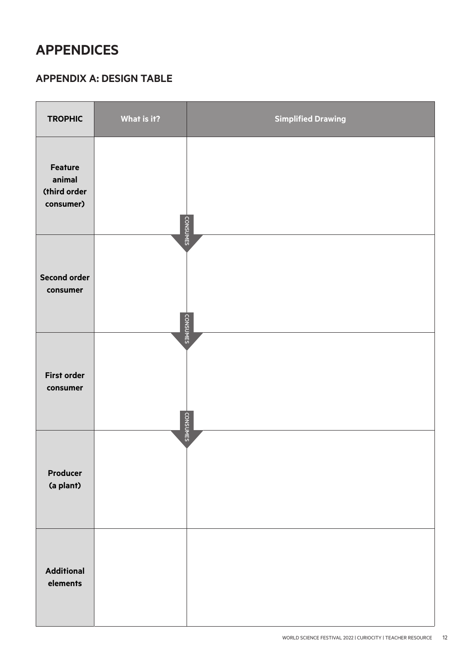# <span id="page-11-0"></span>**APPENDICES**

# **APPENDIX A: DESIGN TABLE**

| <b>TROPHIC</b>                                        | What is it? | <b>Simplified Drawing</b> |
|-------------------------------------------------------|-------------|---------------------------|
| <b>Feature</b><br>animal<br>(third order<br>consumer) |             | <b>CONSUMES</b>           |
| <b>Second order</b><br>consumer                       |             | <b>CONSUMES</b>           |
| <b>First order</b><br>consumer                        |             | <b>CONSUMES</b>           |
| Producer<br>(a plant)                                 |             |                           |
| <b>Additional</b><br>elements                         |             |                           |